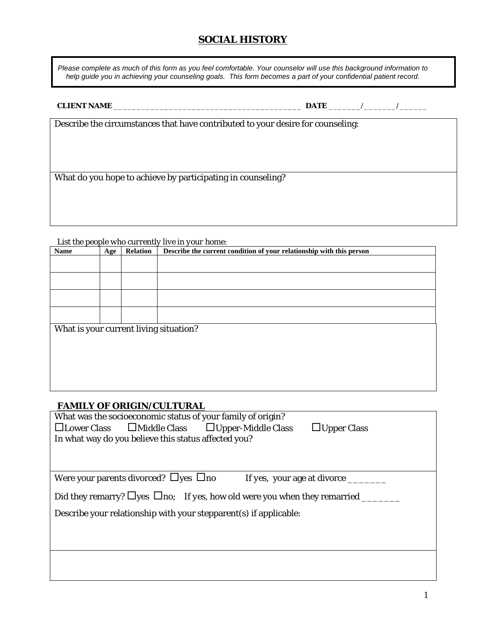# **SOCIAL HISTORY**

*Please complete as much of this form as you feel comfortable. Your counselor will use this background information to help guide you in achieving your counseling goals. This form becomes a part of your confidential patient record.* 

**CLIENT NAME** \_\_\_\_\_\_\_\_\_\_\_\_\_\_\_\_\_\_\_\_\_\_\_\_\_\_\_\_\_\_\_\_\_\_\_\_\_\_\_\_\_ **DATE** \_\_\_\_\_\_\_/\_\_\_\_\_\_\_/\_\_\_\_\_\_

Describe the circumstances that have contributed to your desire for counseling:

What do you hope to achieve by participating in counseling?

*List the people who currently live in your home:* 

| Name                                   | <b>Age</b> | <b>Relation</b> | Describe the current condition of your relationship with this person |
|----------------------------------------|------------|-----------------|----------------------------------------------------------------------|
|                                        |            |                 |                                                                      |
|                                        |            |                 |                                                                      |
|                                        |            |                 |                                                                      |
|                                        |            |                 |                                                                      |
|                                        |            |                 |                                                                      |
|                                        |            |                 |                                                                      |
|                                        |            |                 |                                                                      |
|                                        |            |                 |                                                                      |
| What is your current living situation? |            |                 |                                                                      |
|                                        |            |                 |                                                                      |
|                                        |            |                 |                                                                      |
|                                        |            |                 |                                                                      |
|                                        |            |                 |                                                                      |
|                                        |            |                 |                                                                      |
|                                        |            |                 |                                                                      |
|                                        |            |                 |                                                                      |

## **FAMILY OF ORIGIN/CULTURAL**

| What was the socioeconomic status of your family of origin?                                     |
|-------------------------------------------------------------------------------------------------|
| $\square$ Lower Class $\square$ Middle Class $\square$ Upper-Middle Class<br>$\Box$ Upper Class |
| In what way do you believe this status affected you?                                            |
|                                                                                                 |
|                                                                                                 |
|                                                                                                 |
| Were your parents divorced? $\Box$ yes $\Box$ no<br>If yes, your age at divorce _______         |
| Did they remarry? $\Box$ yes $\Box$ no; If yes, how old were you when they remarried ____       |
|                                                                                                 |
| Describe your relationship with your stepparent(s) if applicable:                               |
|                                                                                                 |
|                                                                                                 |
|                                                                                                 |
|                                                                                                 |
|                                                                                                 |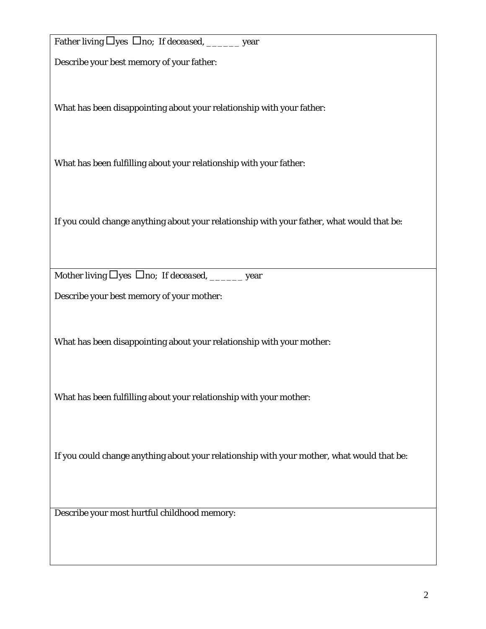| Father living □yes □no; If deceased, _______ year                                          |
|--------------------------------------------------------------------------------------------|
| Describe your best memory of your father:                                                  |
| What has been disappointing about your relationship with your father:                      |
| What has been fulfilling about your relationship with your father:                         |
| If you could change anything about your relationship with your father, what would that be: |
| Mother living $\Box$ yes $\Box$ no; If deceased, ________ year                             |
| Describe your best memory of your mother:                                                  |
| What has been disappointing about your relationship with your mother:                      |
| What has been fulfilling about your relationship with your mother:                         |
| If you could change anything about your relationship with your mother, what would that be: |
| Describe your most hurtful childhood memory:                                               |
|                                                                                            |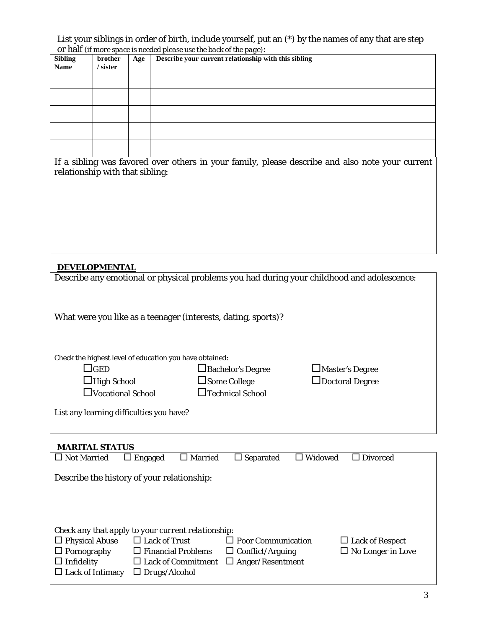List your siblings in order of birth, include yourself, put an (\*) by the names of any that are step or half *(if more space is needed please use the back of the page)*:

| <b>Sibling</b> | brother | Age | $\ldots$ process are sense of any page,<br>Describe your current relationship with this sibling |
|----------------|---------|-----|-------------------------------------------------------------------------------------------------|
| <b>Name</b>    | sister  |     |                                                                                                 |
|                |         |     |                                                                                                 |
|                |         |     |                                                                                                 |
|                |         |     |                                                                                                 |
|                |         |     |                                                                                                 |
|                |         |     |                                                                                                 |
|                |         |     |                                                                                                 |
|                |         |     |                                                                                                 |
|                |         |     |                                                                                                 |
|                |         |     |                                                                                                 |
|                |         |     |                                                                                                 |

If a sibling was favored over others in your family, please describe and also note your current relationship with that sibling:

## **DEVELOPMENTAL**

| Describe any emotional or physical problems you had during your childhood and adolescence: |                          |                        |
|--------------------------------------------------------------------------------------------|--------------------------|------------------------|
| What were you like as a teenager (interests, dating, sports)?                              |                          |                        |
| Check the highest level of education you have obtained:                                    |                          |                        |
| $\Box$ GED                                                                                 | $\Box$ Bachelor's Degree | $\Box$ Master's Degree |
| $\Box$ High School                                                                         | $\Box$ Some College      | $\Box$ Doctoral Degree |
| $\Box$ Vocational School                                                                   | $\Box$ Technical School  |                        |
| List any learning difficulties you have?                                                   |                          |                        |

## **MARITAL STATUS**

| $\Box$ Not Married      | $\Box$ Engaged                                     | $\Box$ Married | $\Box$ Separated          | $\Box$ Widowed | $\Box$ Divorced          |
|-------------------------|----------------------------------------------------|----------------|---------------------------|----------------|--------------------------|
|                         | Describe the history of your relationship:         |                |                           |                |                          |
|                         |                                                    |                |                           |                |                          |
|                         | Check any that apply to your current relationship: |                |                           |                |                          |
| $\Box$ Physical Abuse   | $\Box$ Lack of Trust                               |                | $\Box$ Poor Communication |                | $\Box$ Lack of Respect   |
| $\Box$ Pornography      | $\Box$ Financial Problems                          |                | $\Box$ Conflict/Arguing   |                | $\Box$ No Longer in Love |
| $\Box$ Infidelity       | $\Box$ Lack of Commitment                          |                | $\Box$ Anger/Resentment   |                |                          |
| $\Box$ Lack of Intimacy | $\Box$ Drugs/Alcohol                               |                |                           |                |                          |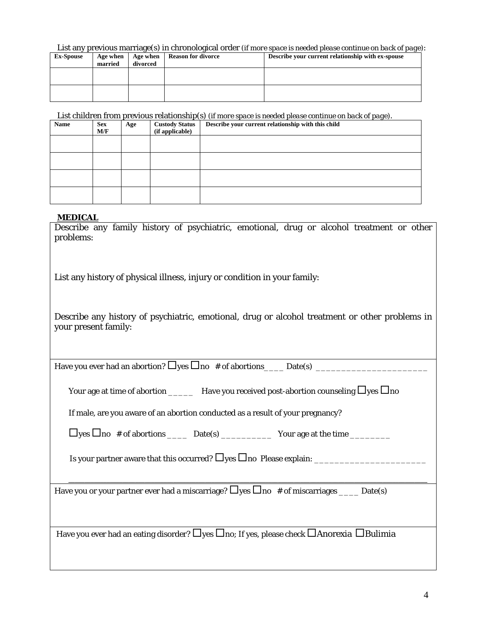List any previous marriage(s) in chronological order (*if more space is needed please continue on back of page)*:

| <b>Ex-Spouse</b> | Age when<br>married | $\cdots$<br>Age when<br>divorced | <b>Reason for divorce</b> | .<br>Describe your current relationship with ex-spouse |
|------------------|---------------------|----------------------------------|---------------------------|--------------------------------------------------------|
|                  |                     |                                  |                           |                                                        |
|                  |                     |                                  |                           |                                                        |

List children from previous relationship(s) (*if more space is needed please continue on back of page)*.

| Name | <b>Sex</b><br>M/F | Age | <b>Custody Status</b><br>(if applicable) | Describe your current relationship with this child |
|------|-------------------|-----|------------------------------------------|----------------------------------------------------|
|      |                   |     |                                          |                                                    |
|      |                   |     |                                          |                                                    |
|      |                   |     |                                          |                                                    |
|      |                   |     |                                          |                                                    |

#### **MEDICAL**

Describe any family history of psychiatric, emotional, drug or alcohol treatment or other problems:

List any history of physical illness, injury or condition in your family:

Describe any history of psychiatric, emotional, drug or alcohol treatment or other problems in your present family:

Have you ever had an abortion?  $\Box$  yes  $\Box$  no # of abortions Date(s)

| Your age at time of abortion | Have you received post-abortion counseling $\Box$ yes $\Box$ no |
|------------------------------|-----------------------------------------------------------------|
|------------------------------|-----------------------------------------------------------------|

If male, are you aware of an abortion conducted as a result of your pregnancy?

 $\Box$  yes  $\Box$  no # of abortions  $\Box$  Date(s) Your age at the time

Is your partner aware that this occurred? yes no Please explain: \_\_\_\_\_\_\_\_\_\_\_\_\_\_\_\_\_\_\_\_\_\_

 **\_\_\_\_\_\_\_\_\_\_\_\_\_\_\_\_\_\_\_\_\_\_\_\_\_\_\_\_\_\_\_\_\_\_\_\_\_\_\_\_\_\_\_\_\_\_\_\_\_\_\_\_\_\_\_\_\_\_\_\_\_\_\_\_\_\_\_\_\_\_\_\_\_\_\_\_\_\_\_\_\_\_\_\_\_\_\_\_\_\_\_\_\_\_\_\_\_\_\_\_\_\_\_\_\_\_\_\_\_\_\_\_\_** 

Have you or your partner ever had a miscarriage?  $\Box$  yes  $\Box$  no # of miscarriages \_\_\_\_ Date(s)

Have you ever had an eating disorder?  $\Box$  yes  $\Box$  no; If yes, please check  $\Box$  Anorexia  $\Box$  Bulimia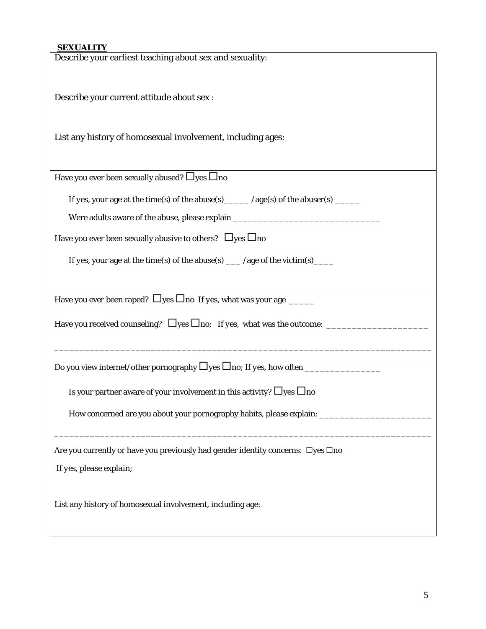## **SEXUALITY**

| Describe your earliest teaching about sex and sexuality:                                |
|-----------------------------------------------------------------------------------------|
|                                                                                         |
| Describe your current attitude about sex :                                              |
|                                                                                         |
|                                                                                         |
| List any history of homosexual involvement, including ages:                             |
|                                                                                         |
| Have you ever been sexually abused? $\Box$ yes $\Box$ no                                |
|                                                                                         |
| If yes, your age at the time(s) of the abuse(s) _____ /age(s) of the abuser(s) _____    |
| Were adults aware of the abuse, please explain _________________________________        |
| Have you ever been sexually abusive to others? $\Box$ yes $\Box$ no                     |
|                                                                                         |
| If yes, your age at the time(s) of the abuse(s) ___ /age of the victim(s) ___           |
|                                                                                         |
| Have you ever been raped? $\Box$ yes $\Box$ no <i>If yes</i> , what was your age ______ |
|                                                                                         |
|                                                                                         |
|                                                                                         |
|                                                                                         |
|                                                                                         |
| Is your partner aware of your involvement in this activity? $\Box$ yes $\Box$ no        |
| How concerned are you about your pornography habits, please explain:                    |
|                                                                                         |
| Are you currently or have you previously had gender identity concerns: □yes □no         |
| If yes, please explain;                                                                 |
|                                                                                         |
|                                                                                         |
| List any history of homosexual involvement, including age:                              |
|                                                                                         |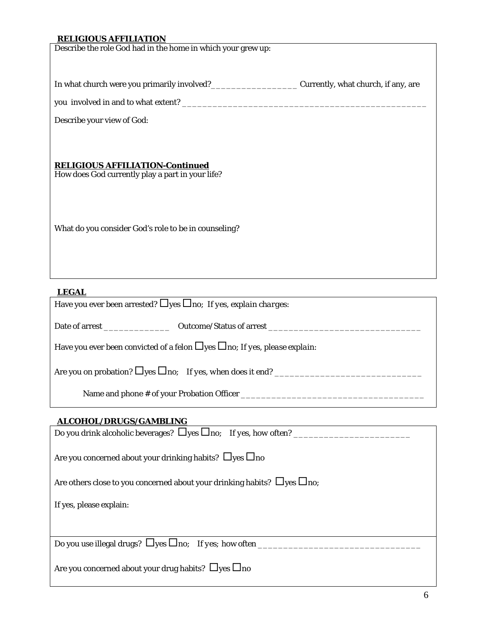## **RELIGIOUS AFFILIATION**

Describe the role God had in the home in which your grew up:

In what church were you primarily involved?\_\_\_\_\_\_\_\_\_\_\_\_\_\_\_\_\_\_\_\_\_\_\_\_Currently, what church, if any, are

you involved in and to what extent? \_\_\_\_\_\_\_\_\_\_\_\_\_\_\_\_\_\_\_\_\_\_\_\_\_\_\_\_\_\_\_\_\_\_\_\_\_\_\_\_\_\_\_\_\_\_\_\_

Describe your view of God:

## **RELIGIOUS AFFILIATION-***Continued*

How does God currently play a part in your life?

What do you consider God's role to be in counseling?

#### **LEGAL**

Have you ever been arrested? Dyes Dno; *If yes, explain charges*:

Date of arrest \_\_\_\_\_\_\_\_\_\_\_\_\_ Outcome/Status of arrest \_\_\_\_\_\_\_\_\_\_\_\_\_\_\_\_\_\_\_\_\_\_\_\_\_\_\_\_\_\_

Have you ever been convicted of a felon  $\Box$  yes  $\Box$  no; *If yes, please explain*:

Are you on probation?  $\Box$  yes  $\Box$  no; *If yes, when does it end?* 

Name and phone # of your Probation Officer \_\_\_\_\_\_\_\_\_\_\_\_\_\_\_\_\_\_\_\_\_\_\_\_\_\_\_\_\_\_\_\_\_\_\_\_

## **ALCOHOL/DRUGS/GAMBLING**

| Do you drink alcoholic beverages? $\Box$ yes $\Box$ no; If yes, how often?          |
|-------------------------------------------------------------------------------------|
| Are you concerned about your drinking habits? $\Box$ yes $\Box$ no                  |
| Are others close to you concerned about your drinking habits? $\Box$ yes $\Box$ no; |
| If yes, please explain:                                                             |
|                                                                                     |
| Do you use illegal drugs? $\Box$ yes $\Box$ no; If yes; how often ______            |
| Are you concerned about your drug habits? $\Box$ yes $\Box$ no                      |